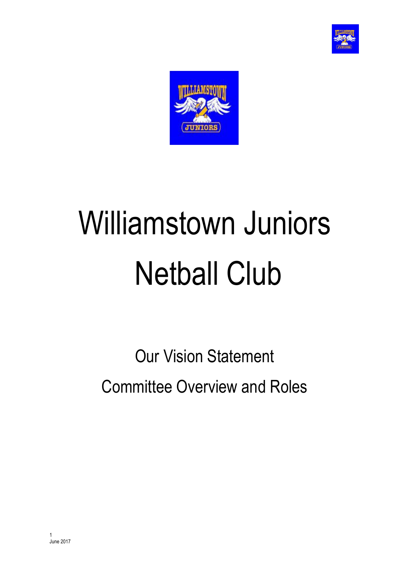



# Williamstown Juniors Netball Club

Our Vision Statement Committee Overview and Roles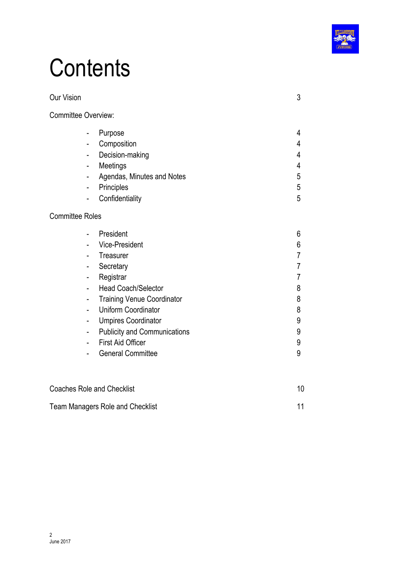

## **Contents**

| <b>Our Vision</b>                                                                                                                                                                                       |                                                                                                                                                                                                                                              | 3                                                                                               |
|---------------------------------------------------------------------------------------------------------------------------------------------------------------------------------------------------------|----------------------------------------------------------------------------------------------------------------------------------------------------------------------------------------------------------------------------------------------|-------------------------------------------------------------------------------------------------|
| <b>Committee Overview:</b>                                                                                                                                                                              |                                                                                                                                                                                                                                              |                                                                                                 |
| Purpose<br>$\overline{\phantom{0}}$<br>Composition<br>÷,<br>$\overline{\phantom{0}}$<br>Meetings<br>$\overline{\phantom{0}}$<br>-<br>Principles<br>$\overline{\phantom{0}}$<br>$\overline{\phantom{0}}$ | Decision-making<br>Agendas, Minutes and Notes<br>Confidentiality                                                                                                                                                                             | 4<br>4<br>4<br>$\overline{4}$<br>5<br>5<br>5                                                    |
| <b>Committee Roles</b>                                                                                                                                                                                  |                                                                                                                                                                                                                                              |                                                                                                 |
| President<br>$\overline{\phantom{0}}$<br>-<br>Treasurer<br>Secretary<br>-<br>Registrar<br>-<br>-<br>$\overline{\phantom{0}}$<br>$\overline{\phantom{0}}$<br>-<br>-<br>-                                 | Vice-President<br><b>Head Coach/Selector</b><br><b>Training Venue Coordinator</b><br><b>Uniform Coordinator</b><br><b>Umpires Coordinator</b><br><b>Publicity and Communications</b><br><b>First Aid Officer</b><br><b>General Committee</b> | 6<br>6<br>$\overline{7}$<br>$\overline{7}$<br>$\overline{7}$<br>8<br>8<br>8<br>9<br>9<br>9<br>9 |
| <b>Coaches Role and Checklist</b>                                                                                                                                                                       |                                                                                                                                                                                                                                              | 10                                                                                              |
| <b>Team Managers Role and Checklist</b>                                                                                                                                                                 |                                                                                                                                                                                                                                              | 11                                                                                              |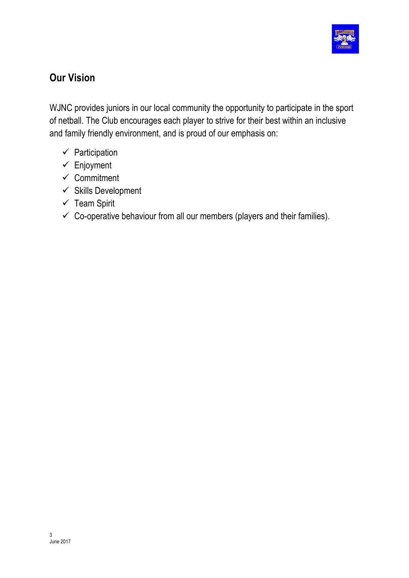

### **Our Vision**

WJNC provides juniors in our local community the opportunity to participate in the sport of netball. The Club encourages each player to strive for their best within an inclusive and family friendly environment, and is proud of our emphasis on:

- $\checkmark$  Participation
- $\checkmark$  Enjoyment
- $\checkmark$  Commitment
- $\checkmark$  Skills Development
- $\checkmark$  Team Spirit
- $\checkmark$  Co-operative behaviour from all our members (players and their families).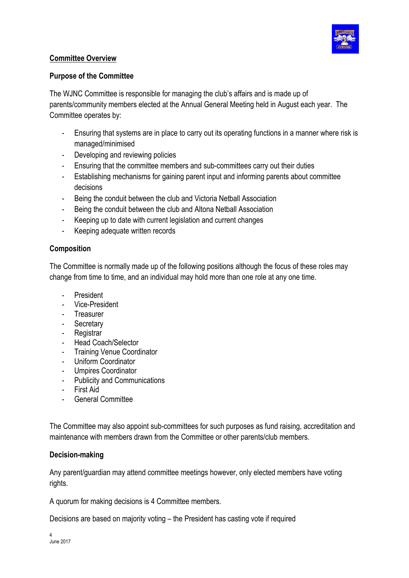

#### **Committee Overview**

#### **Purpose of the Committee**

The WJNC Committee is responsible for managing the club's affairs and is made up of parents/community members elected at the Annual General Meeting held in August each year. The Committee operates by:

- Ensuring that systems are in place to carry out its operating functions in a manner where risk is managed/minimised
- Developing and reviewing policies
- Ensuring that the committee members and sub-committees carry out their duties
- Establishing mechanisms for gaining parent input and informing parents about committee decisions
- Being the conduit between the club and Victoria Netball Association
- Being the conduit between the club and Altona Netball Association
- Keeping up to date with current legislation and current changes
- Keeping adequate written records

#### **Composition**

The Committee is normally made up of the following positions although the focus of these roles may change from time to time, and an individual may hold more than one role at any one time.

- **President**
- Vice-President
- Treasurer
- Secretary
- Registrar
- Head Coach/Selector
- Training Venue Coordinator
- Uniform Coordinator
- Umpires Coordinator
- Publicity and Communications
- First Aid
- General Committee

The Committee may also appoint sub-committees for such purposes as fund raising, accreditation and maintenance with members drawn from the Committee or other parents/club members.

#### **Decision-making**

Any parent/guardian may attend committee meetings however, only elected members have voting rights.

A quorum for making decisions is 4 Committee members.

Decisions are based on majority voting – the President has casting vote if required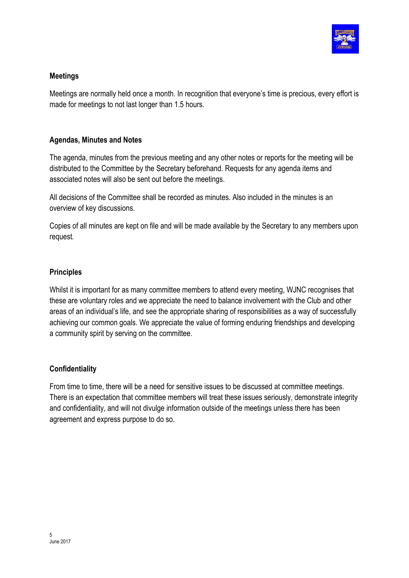

#### **Meetings**

Meetings are normally held once a month. In recognition that everyone's time is precious, every effort is made for meetings to not last longer than 1.5 hours.

#### **Agendas, Minutes and Notes**

The agenda, minutes from the previous meeting and any other notes or reports for the meeting will be distributed to the Committee by the Secretary beforehand. Requests for any agenda items and associated notes will also be sent out before the meetings.

All decisions of the Committee shall be recorded as minutes. Also included in the minutes is an overview of key discussions.

Copies of all minutes are kept on file and will be made available by the Secretary to any members upon request*.*

#### **Principles**

Whilst it is important for as many committee members to attend every meeting, WJNC recognises that these are voluntary roles and we appreciate the need to balance involvement with the Club and other areas of an individual's life, and see the appropriate sharing of responsibilities as a way of successfully achieving our common goals. We appreciate the value of forming enduring friendships and developing a community spirit by serving on the committee.

#### **Confidentiality**

From time to time, there will be a need for sensitive issues to be discussed at committee meetings. There is an expectation that committee members will treat these issues seriously, demonstrate integrity and confidentiality, and will not divulge information outside of the meetings unless there has been agreement and express purpose to do so.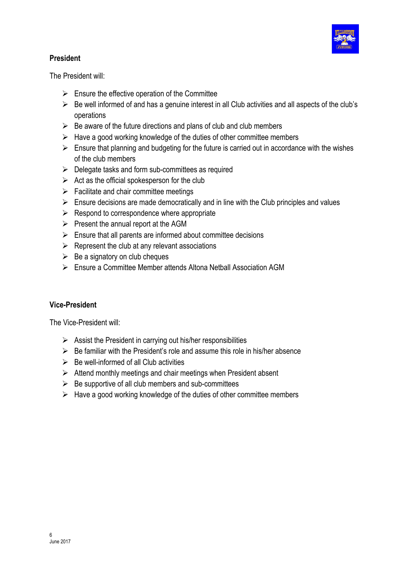

#### **President**

The President will:

- $\triangleright$  Ensure the effective operation of the Committee
- $\triangleright$  Be well informed of and has a genuine interest in all Club activities and all aspects of the club's operations
- $\triangleright$  Be aware of the future directions and plans of club and club members
- $\triangleright$  Have a good working knowledge of the duties of other committee members
- $\triangleright$  Ensure that planning and budgeting for the future is carried out in accordance with the wishes of the club members
- $\triangleright$  Delegate tasks and form sub-committees as required
- $\triangleright$  Act as the official spokesperson for the club
- $\triangleright$  Facilitate and chair committee meetings
- $\triangleright$  Ensure decisions are made democratically and in line with the Club principles and values
- $\triangleright$  Respond to correspondence where appropriate
- $\triangleright$  Present the annual report at the AGM
- $\triangleright$  Ensure that all parents are informed about committee decisions
- $\triangleright$  Represent the club at any relevant associations
- $\triangleright$  Be a signatory on club cheques
- $\triangleright$  Ensure a Committee Member attends Altona Netball Association AGM

#### **Vice-President**

The Vice-President will:

- $\triangleright$  Assist the President in carrying out his/her responsibilities
- $\triangleright$  Be familiar with the President's role and assume this role in his/her absence
- $\triangleright$  Be well-informed of all Club activities
- $\triangleright$  Attend monthly meetings and chair meetings when President absent
- $\triangleright$  Be supportive of all club members and sub-committees
- $\triangleright$  Have a good working knowledge of the duties of other committee members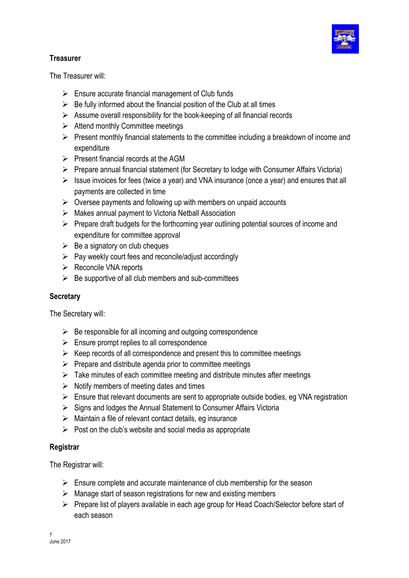

#### **Treasurer**

The Treasurer will:

- $\triangleright$  Ensure accurate financial management of Club funds
- $\triangleright$  Be fully informed about the financial position of the Club at all times
- $\triangleright$  Assume overall responsibility for the book-keeping of all financial records
- $\triangleright$  Attend monthly Committee meetings
- $\triangleright$  Present monthly financial statements to the committee including a breakdown of income and expenditure
- $\triangleright$  Present financial records at the AGM
- $\triangleright$  Prepare annual financial statement (for Secretary to lodge with Consumer Affairs Victoria)
- $\triangleright$  Issue invoices for fees (twice a year) and VNA insurance (once a year) and ensures that all payments are collected in time
- $\triangleright$  Oversee payments and following up with members on unpaid accounts
- $\triangleright$  Makes annual payment to Victoria Netball Association
- $\triangleright$  Prepare draft budgets for the forthcoming year outlining potential sources of income and expenditure for committee approval
- $\triangleright$  Be a signatory on club cheques
- $\triangleright$  Pay weekly court fees and reconcile/adjust accordingly
- $\triangleright$  Reconcile VNA reports
- $\triangleright$  Be supportive of all club members and sub-committees

#### **Secretary**

The Secretary will:

- $\triangleright$  Be responsible for all incoming and outgoing correspondence
- $\triangleright$  Ensure prompt replies to all correspondence
- $\triangleright$  Keep records of all correspondence and present this to committee meetings
- $\triangleright$  Prepare and distribute agenda prior to committee meetings
- $\triangleright$  Take minutes of each committee meeting and distribute minutes after meetings
- $\triangleright$  Notify members of meeting dates and times
- $\triangleright$  Ensure that relevant documents are sent to appropriate outside bodies, eg VNA registration
- $\triangleright$  Signs and lodges the Annual Statement to Consumer Affairs Victoria
- $\triangleright$  Maintain a file of relevant contact details, eq insurance
- $\triangleright$  Post on the club's website and social media as appropriate

#### **Registrar**

The Registrar will:

- $\triangleright$  Ensure complete and accurate maintenance of club membership for the season
- $\triangleright$  Manage start of season registrations for new and existing members
- $\triangleright$  Prepare list of players available in each age group for Head Coach/Selector before start of each season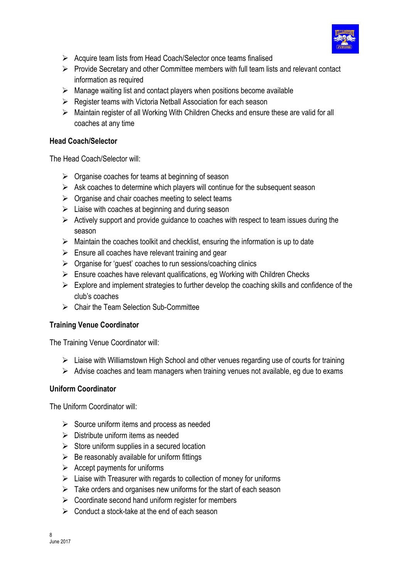

- $\triangleright$  Acquire team lists from Head Coach/Selector once teams finalised
- $\triangleright$  Provide Secretary and other Committee members with full team lists and relevant contact information as required
- $\triangleright$  Manage waiting list and contact players when positions become available
- $\triangleright$  Register teams with Victoria Netball Association for each season
- Ø Maintain register of all Working With Children Checks and ensure these are valid for all coaches at any time

#### **Head Coach/Selector**

The Head Coach/Selector will:

- $\triangleright$  Organise coaches for teams at beginning of season
- $\triangleright$  Ask coaches to determine which players will continue for the subsequent season
- $\triangleright$  Organise and chair coaches meeting to select teams
- $\triangleright$  Liaise with coaches at beginning and during season
- $\triangleright$  Actively support and provide guidance to coaches with respect to team issues during the season
- $\triangleright$  Maintain the coaches toolkit and checklist, ensuring the information is up to date
- $\triangleright$  Ensure all coaches have relevant training and gear
- $\triangleright$  Organise for 'guest' coaches to run sessions/coaching clinics
- $\triangleright$  Ensure coaches have relevant qualifications, eg Working with Children Checks
- $\triangleright$  Explore and implement strategies to further develop the coaching skills and confidence of the club's coaches
- $\triangleright$  Chair the Team Selection Sub-Committee

#### **Training Venue Coordinator**

The Training Venue Coordinator will:

- $\triangleright$  Liaise with Williamstown High School and other venues regarding use of courts for training
- $\triangleright$  Advise coaches and team managers when training venues not available, eg due to exams

#### **Uniform Coordinator**

The Uniform Coordinator will:

- $\triangleright$  Source uniform items and process as needed
- $\triangleright$  Distribute uniform items as needed
- $\triangleright$  Store uniform supplies in a secured location
- $\triangleright$  Be reasonably available for uniform fittings
- $\triangleright$  Accept payments for uniforms
- $\triangleright$  Liaise with Treasurer with regards to collection of money for uniforms
- $\triangleright$  Take orders and organises new uniforms for the start of each season
- $\triangleright$  Coordinate second hand uniform register for members
- $\triangleright$  Conduct a stock-take at the end of each season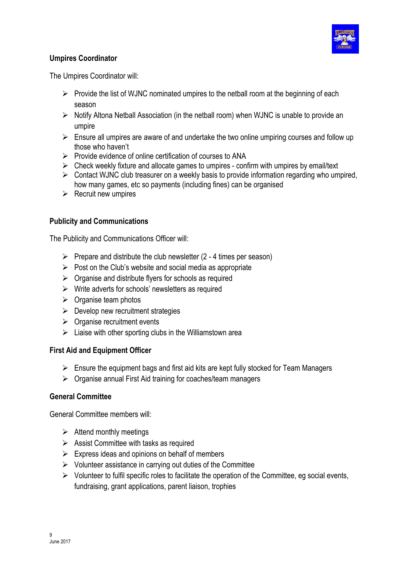

#### **Umpires Coordinator**

The Umpires Coordinator will:

- $\triangleright$  Provide the list of WJNC nominated umpires to the netball room at the beginning of each season
- $\triangleright$  Notify Altona Netball Association (in the netball room) when WJNC is unable to provide an umpire
- $\triangleright$  Ensure all umpires are aware of and undertake the two online umpiring courses and follow up those who haven't
- $\triangleright$  Provide evidence of online certification of courses to ANA
- $\triangleright$  Check weekly fixture and allocate games to umpires confirm with umpires by email/text
- $\triangleright$  Contact WJNC club treasurer on a weekly basis to provide information regarding who umpired, how many games, etc so payments (including fines) can be organised
- $\triangleright$  Recruit new umpires

#### **Publicity and Communications**

The Publicity and Communications Officer will:

- $\triangleright$  Prepare and distribute the club newsletter (2 4 times per season)
- $\triangleright$  Post on the Club's website and social media as appropriate
- $\triangleright$  Organise and distribute flyers for schools as required
- $\triangleright$  Write adverts for schools' newsletters as required
- $\triangleright$  Organise team photos
- $\triangleright$  Develop new recruitment strategies
- $\triangleright$  Organise recruitment events
- $\triangleright$  Liaise with other sporting clubs in the Williamstown area

#### **First Aid and Equipment Officer**

- $\triangleright$  Ensure the equipment bags and first aid kits are kept fully stocked for Team Managers
- $\triangleright$  Organise annual First Aid training for coaches/team managers

#### **General Committee**

General Committee members will:

- $\triangleright$  Attend monthly meetings
- $\triangleright$  Assist Committee with tasks as required
- $\triangleright$  Express ideas and opinions on behalf of members
- $\triangleright$  Volunteer assistance in carrying out duties of the Committee
- $\triangleright$  Volunteer to fulfil specific roles to facilitate the operation of the Committee, eg social events, fundraising, grant applications, parent liaison, trophies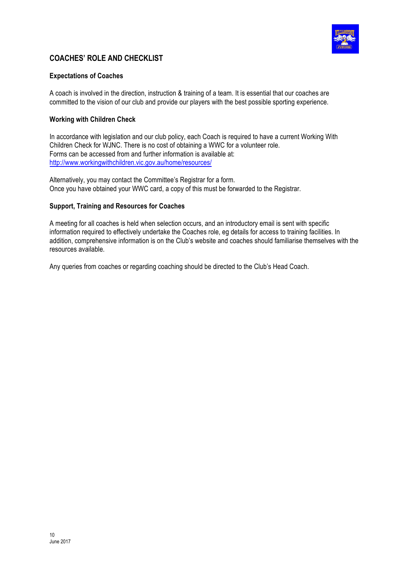

#### **COACHES' ROLE AND CHECKLIST**

#### **Expectations of Coaches**

A coach is involved in the direction, instruction & training of a team. It is essential that our coaches are committed to the vision of our club and provide our players with the best possible sporting experience.

#### **Working with Children Check**

In accordance with legislation and our club policy, each Coach is required to have a current Working With Children Check for WJNC. There is no cost of obtaining a WWC for a volunteer role. Forms can be accessed from and further information is available at: http://www.workingwithchildren.vic.gov.au/home/resources/

Alternatively, you may contact the Committee's Registrar for a form. Once you have obtained your WWC card, a copy of this must be forwarded to the Registrar.

#### **Support, Training and Resources for Coaches**

A meeting for all coaches is held when selection occurs, and an introductory email is sent with specific information required to effectively undertake the Coaches role, eg details for access to training facilities. In addition, comprehensive information is on the Club's website and coaches should familiarise themselves with the resources available.

Any queries from coaches or regarding coaching should be directed to the Club's Head Coach.